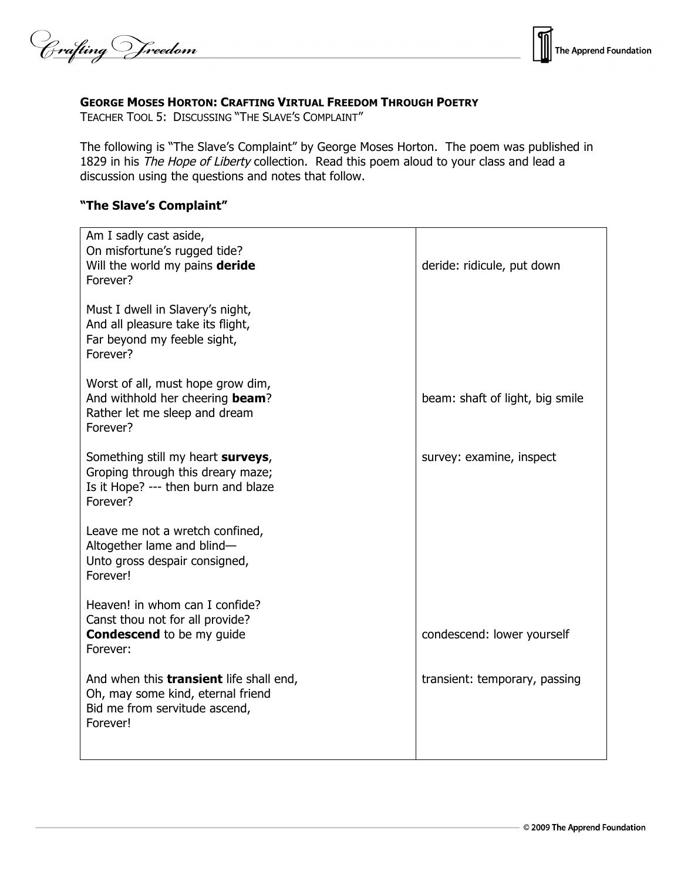Crafting Vreedom



### **GEORGE MOSES HORTON: CRAFTING VIRTUAL FREEDOM THROUGH POETRY**

TEACHER TOOL 5: DISCUSSING "THE SLAVE'S COMPLAINT"

The following is "The Slave's Complaint" by George Moses Horton. The poem was published in 1829 in his The Hope of Liberty collection. Read this poem aloud to your class and lead a discussion using the questions and notes that follow.

# **"The Slave's Complaint"**

| Am I sadly cast aside,<br>On misfortune's rugged tide?<br>Will the world my pains deride<br>Forever?                             | deride: ridicule, put down      |
|----------------------------------------------------------------------------------------------------------------------------------|---------------------------------|
| Must I dwell in Slavery's night,<br>And all pleasure take its flight,<br>Far beyond my feeble sight,<br>Forever?                 |                                 |
| Worst of all, must hope grow dim,<br>And withhold her cheering beam?<br>Rather let me sleep and dream<br>Forever?                | beam: shaft of light, big smile |
| Something still my heart surveys,<br>Groping through this dreary maze;<br>Is it Hope? --- then burn and blaze<br>Forever?        | survey: examine, inspect        |
| Leave me not a wretch confined,<br>Altogether lame and blind-<br>Unto gross despair consigned,<br>Forever!                       |                                 |
| Heaven! in whom can I confide?<br>Canst thou not for all provide?<br><b>Condescend</b> to be my guide<br>Forever:                | condescend: lower yourself      |
| And when this <b>transient</b> life shall end,<br>Oh, may some kind, eternal friend<br>Bid me from servitude ascend,<br>Forever! | transient: temporary, passing   |